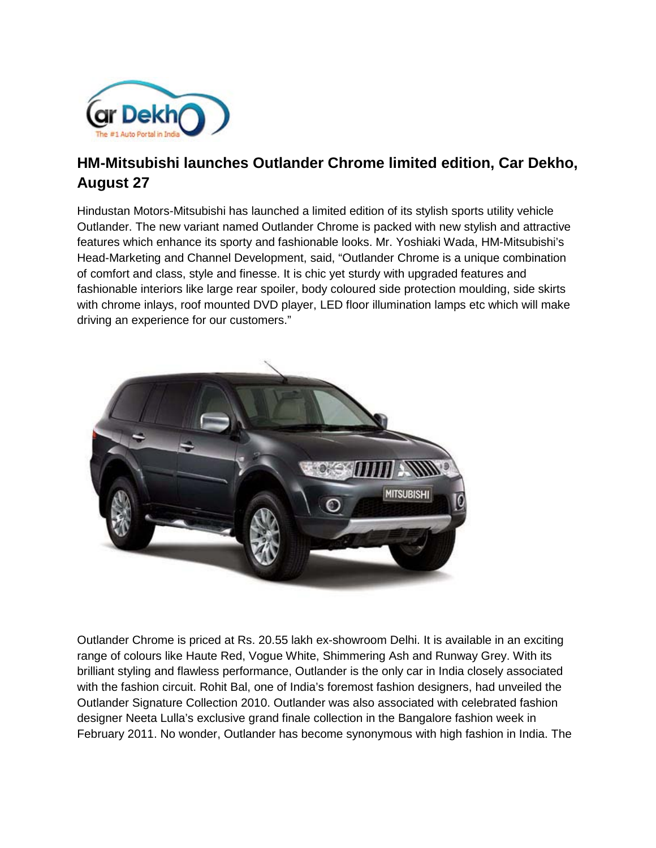

## **HM-Mitsubishi launches Outlander Chrome limited edition, Car Dekho, August 27**

Hindustan Motors-Mitsubishi has launched a limited edition of its stylish sports utility vehicle Outlander. The new variant named Outlander Chrome is packed with new stylish and attractive features which enhance its sporty and fashionable looks. Mr. Yoshiaki Wada, HM-Mitsubishi's Head-Marketing and Channel Development, said, "Outlander Chrome is a unique combination of comfort and class, style and finesse. It is chic yet sturdy with upgraded features and fashionable interiors like large rear spoiler, body coloured side protection moulding, side skirts with chrome inlays, roof mounted DVD player, LED floor illumination lamps etc which will make driving an experience for our customers."



Outlander Chrome is priced at Rs. 20.55 lakh ex-showroom Delhi. It is available in an exciting range of colours like Haute Red, Vogue White, Shimmering Ash and Runway Grey. With its brilliant styling and flawless performance, Outlander is the only car in India closely associated with the fashion circuit. Rohit Bal, one of India's foremost fashion designers, had unveiled the Outlander Signature Collection 2010. Outlander was also associated with celebrated fashion designer Neeta Lulla's exclusive grand finale collection in the Bangalore fashion week in February 2011. No wonder, Outlander has become synonymous with high fashion in India. The